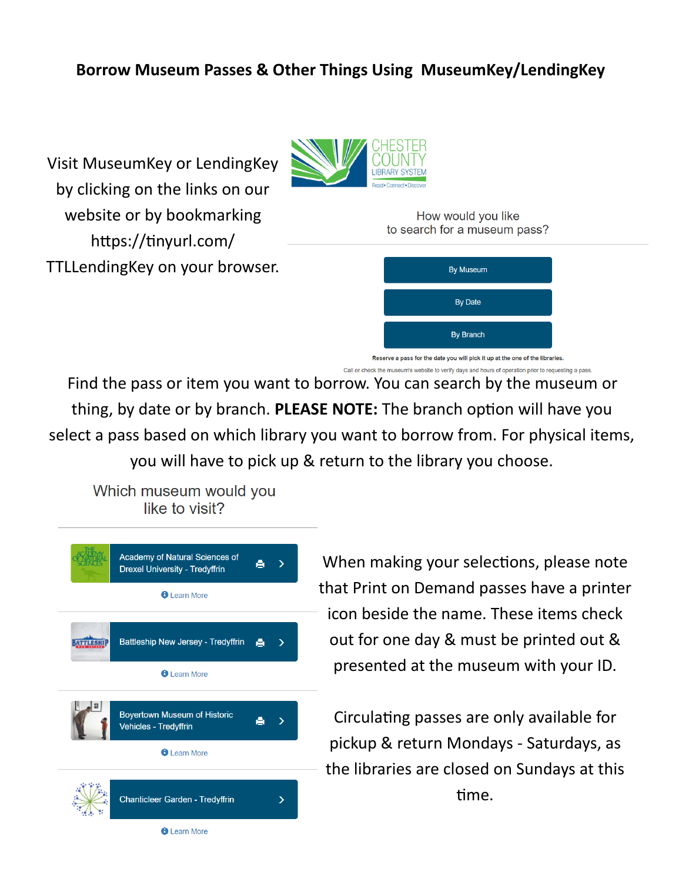## **Borrow Museum Passes & Other Things Using MuseumKey/LendingKey**

Visit MuseumKey or LendingKey by clicking on the links on our website or by bookmarking https://tinyurl.com/ TTLLendingKey on your browser.



How would you like to search for a museum pass?



Call or check the museum's website to verify days and hours of operation prior to requesting a pass.

Find the pass or item you want to borrow. You can search by the museum or thing, by date or by branch. **PLEASE NOTE:** The branch option will have you select a pass based on which library you want to borrow from. For physical items, you will have to pick up & return to the library you choose.

Which museum would you like to visit?



When making your selections, please note that Print on Demand passes have a printer icon beside the name. These items check out for one day & must be printed out & presented at the museum with your ID.

Circulating passes are only available for pickup & return Mondays - Saturdays, as the libraries are closed on Sundays at this time.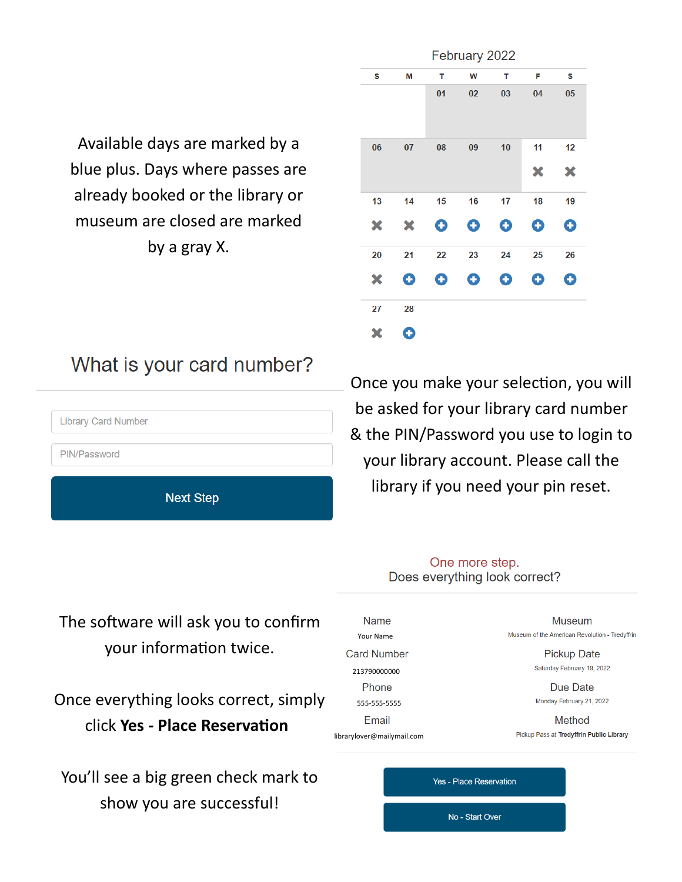Available days are marked by a blue plus. Days where passes are already booked or the library or museum are closed are marked by a gray X.

| February 2022 |    |    |    |    |    |    |  |  |
|---------------|----|----|----|----|----|----|--|--|
| S             | M  | т  | W  | т  | F  | S  |  |  |
|               |    | 01 | 02 | 03 | 04 | 05 |  |  |
| 06            | 07 | 08 | 09 | 10 | 11 | 12 |  |  |
|               |    |    |    |    | ×  | ×  |  |  |
| 13            | 14 | 15 | 16 | 17 | 18 | 19 |  |  |
| ×             | ×  | O  | O  | O  | O  | O  |  |  |
| 20            | 21 | 22 | 23 | 24 | 25 | 26 |  |  |
| ×             | O  | O  | O  | O  | O  | O  |  |  |
| 27            | 28 |    |    |    |    |    |  |  |
| Х             | O  |    |    |    |    |    |  |  |

## What is your card number?



Once you make your selection, you will be asked for your library card number & the PIN/Password you use to login to your library account. Please call the library if you need your pin reset.

> One more step. Does everything look correct?

The software will ask you to confirm your information twice.

Once everything looks correct, simply click **Yes - Place Reservation**

You'll see a big green check mark to show you are successful!

| Name                       | Museum                                         |
|----------------------------|------------------------------------------------|
| Your Name                  | Museum of the American Revolution - Tredyffrin |
| <b>Card Number</b>         | <b>Pickup Date</b>                             |
| 213790000000               | Saturday February 19, 2022                     |
| Phone                      | Due Date                                       |
| 555-555-5555               | Monday February 21, 2022                       |
| Email                      | Method                                         |
| librarylover@mailymail.com | Pickup Pass at Tredyffrin Public Library       |
|                            |                                                |

**Yes - Place Reservation** 

No - Start Over